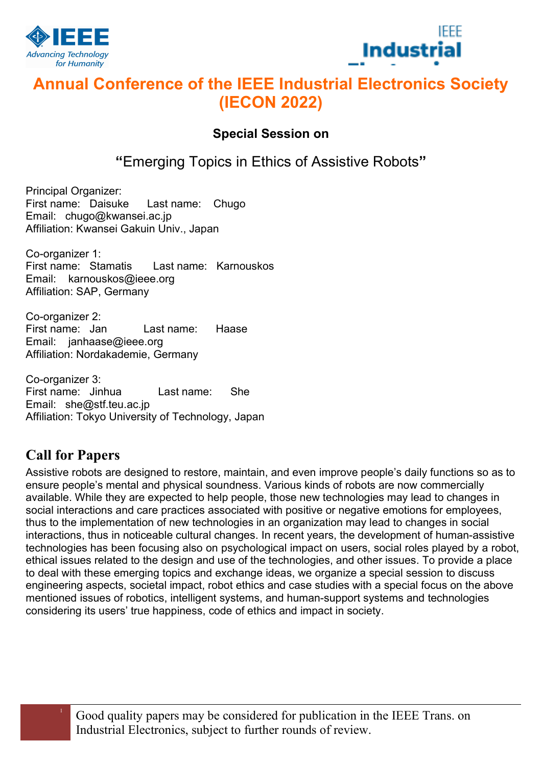



# Annual Conference of the IEEE Industrial Electronics Society (IECON 2022)

### Special Session on

"Emerging Topics in Ethics of Assistive Robots"

Principal Organizer: First name: Daisuke Last name: Chugo Email: chugo@kwansei.ac.jp Affiliation: Kwansei Gakuin Univ., Japan

Co-organizer 1: First name: Stamatis Last name: Karnouskos Email: karnouskos@ieee.org Affiliation: SAP, Germany

Co-organizer 2: First name: Jan Last name: Haase Email: janhaase@ieee.org Affiliation: Nordakademie, Germany

Co-organizer 3: First name: Jinhua Last name: She Email: she@stf.teu.ac.jp Affiliation: Tokyo University of Technology, Japan

## Call for Papers

Assistive robots are designed to restore, maintain, and even improve people's daily functions so as to ensure people's mental and physical soundness. Various kinds of robots are now commercially available. While they are expected to help people, those new technologies may lead to changes in social interactions and care practices associated with positive or negative emotions for employees, thus to the implementation of new technologies in an organization may lead to changes in social interactions, thus in noticeable cultural changes. In recent years, the development of human-assistive technologies has been focusing also on psychological impact on users, social roles played by a robot, ethical issues related to the design and use of the technologies, and other issues. To provide a place to deal with these emerging topics and exchange ideas, we organize a special session to discuss engineering aspects, societal impact, robot ethics and case studies with a special focus on the above mentioned issues of robotics, intelligent systems, and human-support systems and technologies considering its users' true happiness, code of ethics and impact in society.